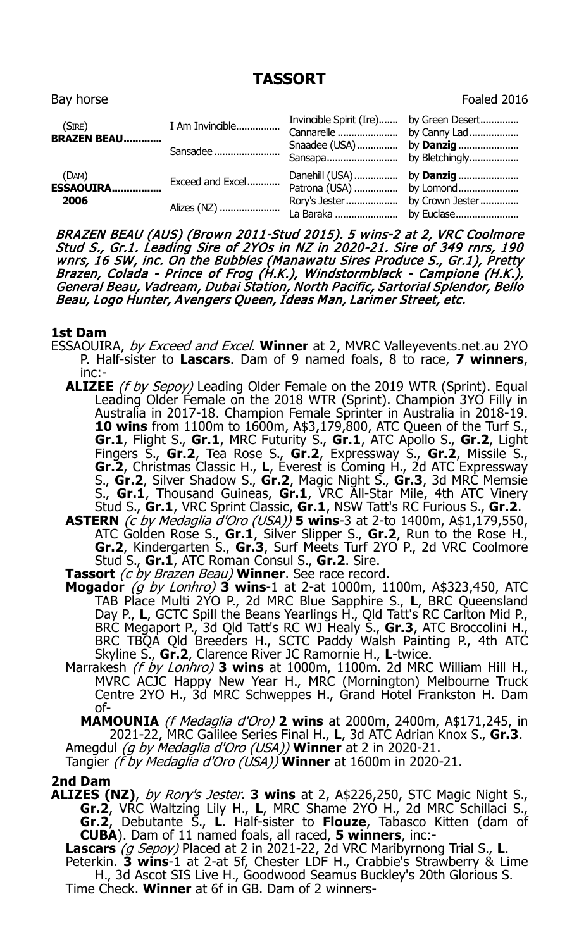# **TASSORT**

Bay horse Foaled 2016 and the Bay horse Foaled 2016 and the Foaled 2016 and the Foaled 2016 and the Foaled 2016  $\sim$ 

| (SIRE)<br><b>BRAZEN BEAU</b> | I Am Invincible<br>Sansadee     | Invincible Spirit (Ire) by Green Desert<br>Snaadee (USA) by <b>Danzig</b> |  |
|------------------------------|---------------------------------|---------------------------------------------------------------------------|--|
| (DAM)<br>ESSAOUIRA<br>2006   | Exceed and Excel<br>Alizes (NZ) | Danehill (USA) by <b>Danzig</b>                                           |  |

BRAZEN BEAU (AUS) (Brown 2011-Stud 2015). 5 wins-2 at 2, VRC Coolmore Stud S., Gr.1. Leading Sire of 2YOs in NZ in 2020-21. Sire of 349 rnrs, 190 wnrs, 16 SW, inc. On the Bubbles (Manawatu Sires Produce S., Gr.1), Pretty Brazen, Colada - Prince of Frog (H.K.), Windstormblack - Campione (H.K.), General Beau, Vadream, Dubai Station, North Pacific, Sartorial Splendor, Bello Beau, Logo Hunter, Avengers Queen, Ideas Man, Larimer Street, etc.

#### **1st Dam**

- ESSAOUIRA, by Exceed and Excel. **Winner** at 2, MVRC Valleyevents.net.au 2YO P. Half-sister to **Lascars**. Dam of 9 named foals, 8 to race, **7 winners**, inc:-
	- **ALIZEE** (f by Sepoy) Leading Older Female on the 2019 WTR (Sprint). Equal Leading Older Female on the 2018 WTR (Sprint). Champion 3YO Filly in Australia in 2017-18. Champion Female Sprinter in Australia in 2018-19. **10 wins** from 1100m to 1600m, A\$3,179,800, ATC Queen of the Turf S., **Gr.1**, Flight S., **Gr.1**, MRC Futurity S., **Gr.1**, ATC Apollo S., **Gr.2**, Light Fingers S., **Gr.2**, Tea Rose S., **Gr.2**, Expressway S., **Gr.2**, Missile S., **Gr.2**, Christmas Classic H., **L**, Everest is Coming H., 2d ATC Expressway S., **Gr.2**, Silver Shadow S., **Gr.2**, Magic Night S., **Gr.3**, 3d MRC Memsie S., **Gr.1**, Thousand Guineas, **Gr.1**, VRC All-Star Mile, 4th ATC Vinery Stud S., **Gr.1**, VRC Sprint Classic, **Gr.1**, NSW Tatt's RC Furious S., **Gr.2**.
	- **ASTERN** (c by Medaglia d'Oro (USA)) **5 wins**-3 at 2-to 1400m, A\$1,179,550, ATC Golden Rose S., **Gr.1**, Silver Slipper S., **Gr.2**, Run to the Rose H., **Gr.2**, Kindergarten S., **Gr.3**, Surf Meets Turf 2YO P., 2d VRC Coolmore Stud S., **Gr.1**, ATC Roman Consul S., **Gr.2**. Sire.
	- **Tassort** (c by Brazen Beau) **Winner**. See race record.
	- **Mogador** (g by Lonhro) **3 wins**-1 at 2-at 1000m, 1100m, A\$323,450, ATC TAB Place Multi 2YO P., 2d MRC Blue Sapphire S., **L**, BRC Queensland Day P., **L**, GCTC Spill the Beans Yearlings H., Qld Tatt's RC Carlton Mid P., BRC Megaport P., 3d Qld Tatt's RC WJ Healy S., **Gr.3**, ATC Broccolini H., BRC TBQA Qld Breeders H., SCTC Paddy Walsh Painting P., 4th ATC Skyline S., **Gr.2**, Clarence River JC Ramornie H., **L**-twice.
	- Marrakesh (f by Lonhro) **3 wins** at 1000m, 1100m. 2d MRC William Hill H., MVRC ACJC Happy New Year H., MRC (Mornington) Melbourne Truck Centre 2YO H., 3d MRC Schweppes H., Grand Hotel Frankston H. Dam of-

**MAMOUNIA** (f Medaglia d'Oro) **2 wins** at 2000m, 2400m, A\$171,245, in 2021-22, MRC Galilee Series Final H., **L**, 3d ATC Adrian Knox S., **Gr.3**.

Amegdul (g by Medaglia d'Oro (USA)) **Winner** at 2 in 2020-21.

Tangier (f by Medaglia d'Oro (USA)) **Winner** at 1600m in 2020-21.

### **2nd Dam**

**ALIZES (NZ)**, by Rory's Jester. **3 wins** at 2, A\$226,250, STC Magic Night S., **Gr.2**, VRC Waltzing Lily H., **L**, MRC Shame 2YO H., 2d MRC Schillaci S., **Gr.2**, Debutante S., **L**. Half-sister to **Flouze**, Tabasco Kitten (dam of **CUBA**). Dam of 11 named foals, all raced, **5 winners**, inc:-

**Lascars** (g Sepoy) Placed at 2 in 2021-22, 2d VRC Maribyrnong Trial S., **L**. Peterkin. **3 wins**-1 at 2-at 5f, Chester LDF H., Crabbie's Strawberry & Lime H., 3d Ascot SIS Live H., Goodwood Seamus Buckley's 20th Glorious S. Time Check. **Winner** at 6f in GB. Dam of 2 winners